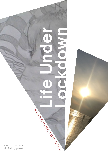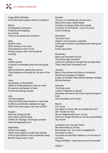

Happy Bitter Birthday An Excessively Angsty Letter to Lockdown

### March,

A Geography classroom. Cheering and laughing As we hear That we are going into lockdown.

# April,

Aliyah's room. She's sitting on her chair Chromebook in front of her Writing a story, when she should be working.

# May,

Aliyah's phone.

A series of messages ping onto the group chat

With excitement, stating the rumour That lockdown will ensue for the rest of the year.

# June,

Downstairs, in the kitchen. Aliyah is finally getting on with her work. It's warmer, and easier to think for the time being, at least.

# July,

The back garden. Aliyah and Dad stack liquids in a test tube As Mum accidentally explodes an egg Which she was trying to put into a bottle.

August, Summer holiday at last. One mellow eternity later, It feels off. Strange. As though summer Had not happened at all.

September, School once again. Aliyah was hopeful to make new friends, And not get bullied or feel constantly lonely. But her hopes were in vain.

October,

The car, on a steady tour across town. Dad at the wheel, whilst Aliyah Clutches envelopes filled with sweets To deliver to her friends - a sort of virtual trick-or-treating.

November, The front room. Aliyah is now fourteen, and feels as though somehow everything and nothing has changed At the same time.

# December,

Nana and Grandad's house. The family open presents And try to pretend as though they actually think That it feels like Christmas at all.

### January,

Back in the kitchen and back on lockdown. We did not manage to undergo 6 days of the New Year without disaster striking. Whoop-dee-doo.

February, The living room. I write a Valentine to myself (because self-love is the most important type of love) and a birthday card to Dad.

March, Fin's room. He wakes us all up with an excited shout at 7 AM. Thanks for that. We all celebrate that he is 12 now And try to forget that this is not the only birthday this month.

Lockdown, our one-year friend. We welcomed you at first, But enough now. You have us begging for normalcy to return. You have successfully robbed us of one year of our lives. Happy birthday. I hope you're proud of yourself.

*Aliyah C*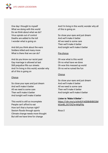

One day I thought to myself What we doing with this world Do we think about what we do? Virus spirals out of control Deaths are added to the toll I wonder what is going on

And did you think about the wars Soldiers killed and many more What is there that we can do?

And do you know our racist past Gay marriage is allowed at last Still prejudice fills our streets And I'm living in this world, wonder why all of this is going on

#### **Chorus**

So close your eyes and just dream And we'll make it better All we need is some care Then we'll make it better And tonight we'll make it better

This world is still so incomplete People can't afford to eat How isn't that a human right? Sexism floods through sports Climate change needs more thought But still we have time for change

And I'm living in this world, wonder why all of this is going on

So close your eyes and just dream And we'll make it better All we need is some care Then we'll make it better And tonight we'll make it better

### Pre-chorus

Oh woe what is this world Oh no what have we done Oh woe this messed up world Oh no we've ruined the fun

# **Chorus**

So close your eyes and just dream And we'll make it better All we need is some care Then we'll make it better And tonight we'll make it better

**Listen to 'Make it Better'**  [https://1drv.ms/u/s!AnlUY-k0DBrBiIBOQM](https://1drv.ms/u/s!AnlUY-k0DBrBiIBOQMkIUs4B_OO7OQ?e=kKgPXq) [kIUs4B\\_OO7OQ?e=kKgPXq](https://1drv.ms/u/s!AnlUY-k0DBrBiIBOQMkIUs4B_OO7OQ?e=kKgPXq)

*Rosa S*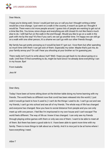

Dear Macie,

I hope you're doing well, I know I could just text you or call you but I thought writing a letter would be a nice change. I just went on a walk in the country, it wasn't as quiet as I thought it would be. There were a lot more people around. I guess lots of people are wanting to get out at a time like this. You know, since shops and everything are still closed it's not like there's much else to do. I still had fun on the walk in the end though. Would you like to go on a walk in the park with me by the way? It's fine if you can't, we can go another time. I'm happy we can still go on a walk with one other person, it's a shame we can't go with our other friends though.

My family has got pretty annoying so it would be best if I got out. I love them but after spending so much time with them I can get sick of them. Especially my sister. Maybe that's just me, do your family annoy you? On call I hear you shouting at your brother so I'm guessing yes.

There really isn't much to write about, huh? Well, I hope you get back to me about going on a walk. Until then I'll find something to do, might be hard since I've already done everything I can in my house. Bye!

From Isabella

*Jess M*

Dear diary,

Today I have been at home sitting down at the kitchen table doing my home learning with my friends. The world feels so different now that covid has been released into the world ( I just wish it would go back to how it used to.) I can't do the things I used to do. I can't go out and see my friends, I can't go into school and see all of my friends. The whole way of life has changed and everyone has changed. Now you have to social distance from people and you can only meet up with one person. I feel like I'm imprisoned in my own house and I can't escape! The world feels different. The way of life as I knew it has changed. I can only see my friends through playing online games with them or only see one of them. I want to be able to meet all of them. But there has been a good side to it. I have been able to spent more time with my family. There is more things to talk about as a family. And it is nice just to be at home where I have everything I need.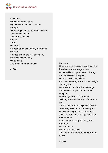

I lie in bed, Motivation non-existent, My mind crowded with pointless thoughts, Wondering when the pandemic will end, This endless abyss, This bottomless pit, Lonely, Alone, Deserted, Stripped of my day and my month and my year, Trapped amidst the rest of society, My life is insignificant, Unimportant, And life seems meaningless

*Leila F*

# It's scary.

Nowhere to go, no one to see, I feel like I have become a hostage inside.

On a day like this people flood through the town faster than speed.

Go out, stay in, they all say.

Classrooms empty, not a human in sight. Shops gone.

But there is one place that people go flooded with people old and small. Hospitals.

Not enough beds to fill them all.

Will they survive? That's just for time to tell.

Jabs in their arms is a symbol of hope. How long will it be until it all reopens.

Our lives have gone into outer space.

All we do these days is copy and paste on machines.

Is my screen too bright? I forgot that meeting!

Pubs vanished.

Restaurants don't exist.

A life without facemasks wouldn't it be bliss?

*Liyla N*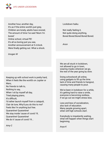

Another hour, another day, It's as if the entire world's just grey, Children are lonely, adults have snored, The amount of time I've said 'Mum I'm bored.'

Online school, virtual PE! It's all so boring just you see, Another announcement at 5 o'clock. Were finally getting out. What a shock.

*Imogen W*

Keeping up with school work is pretty hard, When it feels like the world's on Jupiter or Mars,

No friends to talk to, Nothing to say, When I sit by myself all day, Tried playing piano, It's difficult, I'd rather launch myself from a catapult, Clair de lune, Why'd you do this to me? Feels like I'm anything but free. Quarantine! Quarantine! We stay inside 'cause of covid 19, Quarantine! Quarantine! We do it 'cause of covid 19...

*Amy C*

Lockdown haiku

Not really feeling it, Not quite doing anything, Bored Bored Bored Bored Bored.

*Anon*

We are all stuck in lockdown, not allowed to go in town, wearing masks wherever we go, the rest of the year going by slow.

Doing schoolwork all online, using gadgets to fill up the time. lack of time and friends to hangout, causing many people to pout.

We've been in lockdown for a while, it's getting hard to raise a smile, everyone is becoming restless, if we go out we might stress less.

Less and less of socialization, also lack of education. Many people growing apart, when will high schools start.

Everybody is impatiently waiting, what will happen when things start beginning.

*Anya K*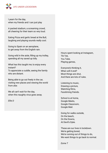

I yearn for the day, when my friends and I can just play

A packed stadium, a screaming crowd, all cheering for their team so very loud.

Eating Pizza and garlic bread at the Bull, laughing and playing sounds really cool.

Going to Spain on an aeroplane, to get away from the English rain.

Going wild in the aisle, filling up my trolley, spending all my saved up lolly.

What has this taught me; to enjoy every instant?

To appreciate a cuddle, seeing the family who are distant.

Being able to go out freely in the car, visiting new places and viewing the world from afar.

We all can't wait for the day, when this naughty virus goes away.

*Ellie D*

Hours spent looking at Instagram, Tik Tok, You Tube, Playing games,

Everyone's thinking it, When will it end? Most things are shut, And there are lots of rules.

Listening to music, Drawing a picture, Watching films, Facetiming friends.

School is at home, Google Meets, Google Classroom, Google Mail.

Going for walks outside, On the beach, On the Downs, At Devil's Dyke.

These are our lives in lockdown. We're getting bored, We're running out of things to do, We want things to go back to normal.

*Esme T*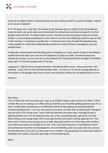

Using all my determination I stretched open my eyes, finding myself in a pool of sunlight. I stared at my clock in disbelief.

8:15. Oh great, now I only have 15 minutes to get dressed, give my rabbits food, eat breakfast, clean my teeth, set up my desk and chromebook for school and somehow be ready for my first google meet and 8:30. To make matters worse, I feel like my ears are going to pop as my dear brother is unfortunately practising his violin which is not the most flattering sound to hear at 8:20 in the morning. I'm starting to wonder how I could have ever sleep through that ghastly noise… I drag myself out of bed and walked blindly towards my chest of draws, managing to trip over several times.

Finally after many bruises and the killing pain of standing on 3 boys worth of lego in the hallway I tumble down the stairs and rush into the bathroom to clean my teeth. Somehow doing that without any bumps I hurry to set up my chromebook (as I had discarded the thought of breakfast years ago) for the first google meet of the day.

Logging on, I feel the most strange sensation. Something feels wrong. I shrug and press 'Join meeting.' I soon find out why something feels weird. As soon as I'm met by strange glances of the people on the google meet I know what I have done:my clothes are completely back to front.

*Amelie G*

#### Dear Diary,

Life is mainly the same everyday now. I get up at 8.00am ready to start school at 8.30am. It kind of feels like you're working in an office and you feel like you should be getting paid because it's so hard. I would rather be playing on my Nintendo Switch all day, playing my favourite games 'Fortnite and Minecraft'. I am now very used to lock-down, not like when it started and I thought it was the end of the human race. I was a little bit panicked, but either way I managed to get a gaming headset out of it! So basically every day is like a groundhog day; I get up do my work while sitting at the lounge table with my younger brother and sister working opposite me. Then after lunch, I finish school and go out on a walk along the seafront or to the shop with my Mum, my brother and sister; but my Dad is at work. Then I go home and play on my Nintendo Switch and sometimes Facetime my Grandparents, who are shielding. Also my Aunty lives very close to me and she lives on her own, so she is part of our bubble. I am going back to school next week so hopefully that means I only have one week of home learning left.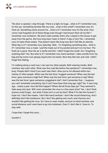

The door is opened, I step through. There is a light, its huge… what is it? I remember now, it's the sun. Something familiar fills my nose… what is this smell? I remember now, it's fresh air. Something swirls around me… what is it? I remember now, it's the wind. How come I had forgotten all of these things even though I had known them all my life? I remember now, lockdown. We aren't safe outside, that's why I stayed in the house, to get away from the germs. But how long have I been in there? A day or two? No. I remember now; it's been three weeks. That doesn't seem like long now, But it felt like an eternity. What day is it? I remember now, Saturday. Wait... I'm forgetting something else... what is it? I remember now, a mask. I pull the mask out of my pocket and put it on my face. The fresh air is gone. Now the air is stuffy and thin. I didn't forget this smell. Am I forgetting anything else? Yes. But what is it? I remember now, hand sanitizer. I take a bottle from my bag and tip some cool, gloopy, liquid onto my hands. Now they feel wet, and cold. I didn't forget this feeling.

I'm walking along a road now, I can see two other people. Both wearing masks. Both nowhere near each other. What was this road like before the pandemic? I remember now, busy. People didn't mind if you went near them. Now you're not allowed within two metres of other people. When was the last time I hugged someone? When was the last time I gave someone a high-five? When was the last time I got someone in tag? When was the last time I gave someone a piggyback ride? I don't remember that… I suppose you can't remember everything. But it can't have been that long ago, right? No. It was long ago… nearly a year. How did that happen? Where did all those days go? They seemed to fade away into dust. Will I even remember the virus in a few years time? Yes. I don't think anyone could forget… but what if there isn't a cure by then? What if it's like this forever? I hope not. I don't like masks. I don't like hand sanitizer. I don't like social distancing. And I definitely don't like lockdowns. But I don't like getting sick much, and chances are I wouldn't like getting the virus. So I have to wear masks, and put on hand sanitizer, and social distance, and I even have to go into lockdown. Even if i don't like it, I have to. To stay safe.

I hope that I forget this soon….

*Scarlett C*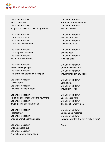

Life under lockdown 23rd March 2020 Life under lockdown People had never had this many worries

Life under lockdown Coronavirus entered Life under lockdown Masks and PPE entered

Life under lockdown The shops were closed Life under lockdown Everyone was enclosed

Life under lockdown Home learning began Life under lockdown The prime minister laid out his plan

Life under lockdown Stay at home Life under lockdown Nowhere for kids to roam

Life under lockdown Toilet roll challenges were the new trend Life under lockdown It was all "make do and mend"

Life under lockdown Test test test Life under lockdown Children were becoming pests

Life under lockdown Online school's out Life under lockdown A mini heatwave came about Life under lockdown Summer summer summer Life under lockdown Was this all over

Life under lockdown Real school's back Life under lockdown Lockdown's back

Life under lockdown Second peak Life under lockdown It was all bleak

Life under lockdown Christmas and winter Life under lockdown Would things get any better

Life under lockdown Lockdown 3 Life under lockdown Would it ever flee

Life under lockdown Vaccines are here Life under lockdown The end still wasn't clear

Life under lockdown Boris and his roadmap Life under lockdown Everyone wanted it to say "That's a wrap"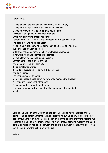

Coronavirus…

Maybe it wasn't the first two cases on the 31st of January Maybe we weren't as 'careful' as we could have been Maybe we knew there was nothing we could change Only lots of things could have been changed Either way something drastic happened Something that will forever leave an impact on thousands of lives The people we will never see again We zoomed in at society where some individuals were above others But difference brought us closer Difference moved us forward in how we treated others and In how this world had seemed to be formed Maybe all that was caused by a pandemic Something that could affect anyone Any class, any race, any ethnicity It didn't matter to a virus It could put everyone's life on hold if it so wished And so it wished The economy came to a stop Many businesses closed down yet new ones managed to blossom We managed to give each other hope Pulled each other through tough times And even though it isn't over yet it will have made us stronger 'better' people

*Erin G*

Lockdown has been hard. Everything has gone up in price, my friendships are on strings, and it's gotten harder to think about anything but Covid. My stress levels have gone through the roof, my computer's been on the fritz, and the only thing keeping me together is the hope of normality. Masks hurt my lungs, distancing hurts my brain and sanitation hurts my hands. I don't want it to be like this. I want lockdown to end. I want Covid to end. I want to get out of my house.

*Luca D*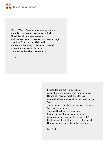

March 2020, in Brighton, where we lay our tale A sudden outbreak leaves us dead or frail The air is no longer safe to take in And a twisted series of events slowly start to begin Hospitals fill up very quickly indeed A spike in vulnerability to those most in need A year this March of strife and toil Let's wait and see how things uncoil

*Olivia H*

Blindfolded and put in a locked box, Afraid that we're going to crash into the rocks, No-one can hear our weak cries for help, Just wait a few months and this crisis will be dealt With, There's a gap in the door, we can see a way out, We gave up too soon, The small box becomes a cocoon, Scrabbling and clawing, trying to get out, After months we wonder, "Can we get out?" Finally we see the light at the end of the tunnel, Now we are walking to the end of the tunnel. *Lola G--D*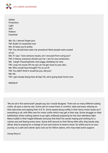

Safety Protection Light Soft Pattern Essential Me: Oh, I almost forget you! FM: Rude! I'm essential now! Me: At least you're pretty. FM: You should have seen my ancestors! Most people were scared of us! Me: If I say I have sensory issues, am I excused from using you? FM: In theory, everyone should use me. I am for your protection. Me: Aargh! Claustrophobic and soggy, shielding my view. FM: Loop me round, lift me up! Let me get close to your skin. Me: Who would have thought? It's so sci-fi! FM: You didn't think it would be you, did you? Me: No. FM: I get sweaty being here all day! Oh, we're going back home now.

*Matilda B*

'We are all in the same boat!' people say, but I would disagree. There are so many different sailing crafts, all upon a stormy sea. Some sail on ocean liners in comfort, style and ease, relaxing on their balconies and sipping their G & Ts. Some speed along swiftly in their fancy motor boats as if everything is ok, with little care for motor crafts which may get in their way. Some struggle on their battleships where nothing seems to go right, endlessly preparing for the next relentless fight. Many huddle in their fragile lifeboats and pray that they'll be saved, hoping and wishing for a calmer sea and fearing every wave. Some drift around on their flimsy little rafts, they barely stay afloat, they're praying for a change of luck and chance to board a boat. So whilst you're on your journey, to a safe and calmer spot, look out for fellow sailors, who may need some support.

*Honey-Rose S*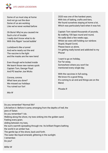

Some of us must stay at home And not go out the door Some of us are working Like we've never worked before

Oh Boris! Why've you caused me Such a lot of trouble I really don't know what to do With this flippin' 'social bubble'

Lockdown's like a tunnel And we're nearly out the end The vaccine is the light and the masks are the new trend

Even though we're locked inside We learnt those new names quick Captain Tom, George Floyd And PE teacher Joe Wicks

Corona, corona. What have you done? We missed our holidays You ruined our fun!

*Mia W*

2020 was one of the hardest years, With lots of baking, crafts and tiers, We found ourselves staying at home a lot, Which was particularly hard when it was hot.

Captain Tom raised thousands of pounds, By walking 100 laps round and round, He sadly died a few weeks ago, Whilst we were still holding our rainbow. Stupid, Stupid Covid, Please leave us alone, I'm getting really bored and addicted to my Phone!

I want to go on holiday, Far Far away, Somewhere where you won't be mentioned every single day.

With the vaccines in full swing, We know it's a good thing, It's coming to an end and things are on the Mend.

*Phoebe R*

Do you remember? Normal life? Life before it. Before it came, emerging from the depths of hell, the jaws of Satan. Do you remember? I do. Walking along the shore, my toes sinking into the golden sand. Feeling every grain; sliding between my toes, the sun's warmth spreading through me. Its brilliant fingers bathing the world in an amber hue. The gentle lap of the shore, back and forth. The water like liquid emerald, glittering in the sunlight. I remember. Do you?

*Miller M*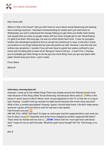

Dear future self,

What is it like in the future? I bet you don't have to worry about social distancing and wearing face coverings anymore. I had been homeschooling for weeks and I just went back on Wednesday; you won't understand the strange feeling you get when you finally meet twenty new people that you were on google meets with but never actually got to see. Nevertheless, I'm glad to be back. Not long ago, me and my whole family had Covid - it was my youngest brother who developed symptoms first so we got him tested just in case. In the end, it came out positive so we all got tested and we were all positive as well. However, I was the only one without any symptoms. I wonder if you will ever have to spend two weeks confined to your home and not being able to leave at all. Because I have to tell you - it wasn't fun :( Anyway, you've probably got other things to do but just one more thing: have you got any spare toilet paper stored away (you know - just in case).

From, Maria

*Maria M*

#### Hello diary, morning diary, Hi!

Anyways, I woke up to the oddest thing! There was nobody around me! Nobody would come near because of this thing called '*Social distancing'* and because 'Boris said so.' Who in the name of Jesus' bacon is *Boris*? Never mind. He just appeared on the TV. Is that hair or a wig or hay? Anyway. I couldn't even go and get my daily burrito because the corner shop was shut! What is this, a zombie apocalypse? Anyway I guess I should head home. Life don't make sense anymore! I guess we'll just have to wait for hay-hair's next speech.

Fast forward one year! **EX** 

ARE WE *STILL HERE? Still* here?! It's been an entire year and this supposed *Boris* can't work out how to stop a virus <sup>3</sup>? Hopefully we'll all be micro-chipped by another supposed *Bill Gates*? That's what my friends told me over a *ZOOM.* Others told me I won't get mine until about April. I hope it's not an April fool joke. Would be quite funny though? No? Ok. That brings us to now!

*Ben B*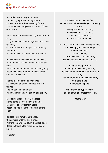

A world of virtue caught unaware, Taunted by a pernicious nightmare, Locked inside for the foreseeing future, The loneliness hung like the cracked frame of a picture.

We thought it would be over by the month of May,

They said it was like the flu, and would soon go away,

On the 26th March the government finally took stock,

As lockdown was announced, at 8 o'clock.

Rules have not always been crystal clear, About who we can visit and who to not go near,

We follow the quidelines and correctly obey. Because a wave of harsh fines will come if you don't stay away,

Normality, freedom and even lives, COVID takes all of these things and it still thrives,

Feeling sad, down and low, When will this end? We simply don't know.

Masks make faces barely readable, Some items are not always available, Make sure to stay six feet apart, Because hospital admissions are off the chart.

Isolated from family and friends, Stuck inside until the crisis ends, Wishing that we could turn the clock back, Because this is a life with no colour, only black.

Loneliness is an invisible fear, It's that overwhelming feeling of not being here, Feeling lost within yourself, Feeling like dust on a shelf, It cannot be described, As it is just so vast and wide,

Building confidence is like building blocks, Step by step your mind unclogs It seems so clear, Yet still is here, Clocks will tick 'n' time will turn, Time slows down loneliness burns,

Taking that leap of faith, Reaching out will seal your fate, The view on the other side, it drains your fear, That satisfaction of finally being here, Your safe place, An incredible space,

Whoever you are, persevere, Don't be afraid to combat that fear…

*Alexander M*

 *Isobel B*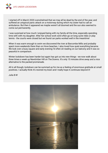

I started off in March 2020 overwhelmed that we may all be dead by the end of the year, and suffered an untypical panic attack on a motorway during which my sister had to call an ambulance. But then it appeared we maybe weren't all doomed and the sun also seemed to come out permanently.

I was surprised at how much I enjoyed being with my family all the time, especially spending time with with my daughter. After her school work we'd often go on long cycle rides or play tennis - the courts were closed but we found car parks worked well in the meantime!

When it was warm enough to swim we discovered the river at Barcombe Mills and probably spent more weekends there than on Hove beaches. I also loved how quiet everything became. We look over a busy square and early evening I'd often sit reading on our balcony and it was so peaceful in comparison.

Winter lockdown has been harder but again has got us into new things - we now walk about three times a week up Newtimber Hill on The Downs. It's only 15 minutes drive away and a nice alternative to the packed promenade.

All in all though, lockdown can be summed up for me as a feeling of enormous gratitude at small positives. I actually think it's rewired my brain and I really hope it continues beyond it!

*Julia B-W*

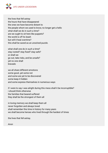

the lives that fell astray the hours that have disappeared the ones we have become distant to the people whom we used to know, no longer get a hello what shall we do in such a time? are we ought to sit here like puppets? the world is off its leash but will it heal overtime? this shall be saved as an unsolved puzzle.

what shall one do in such a time? stay rooted? stay fixed? stay safe? or shall we go out, take risks, and be unsafe? yet no one shall bravado

we all share different emotions some good..yet some not and some are yet to be discovered some keep it hidden and some express themselves in numerous ways

if i were to say i was alright during this mess shall it be incorruptible? i should think otherwise the families that beared suffered they shall be the strongest of them all

in loving memory we shall keep them all never forgotten and always loved shall remember this time in history for many years we shall become heroes who lived through the hardest of times

the lives that fell astray.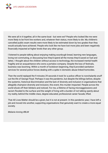

We were all in it together, all in the same boat - but were we? People who looked like me were more likely to be front line workers and, whatever their status, more likely to die. My children's cancelled public exam results were more likely to be estimated down by two grades than they would actually have achieved. People who look like me have lost more jobs and been negatively financially impacted at higher levels than any other group.

I listened to people talking about enjoying making sourdough bread, learning new languages, loving not commuting, or discussing how they'd spend all the money they'd saved on fuel and lattes. I thought about the children without access to technology, the increased mental health fragility and an acquaintance who owns a portaloo company. Despite the loss of festivals, business was booming. Within a month of lockdown beginning, they'd provided sanitation services for several police forces dealing with a spike in domestic abuse linked homicides.

Then the world replayed the 9 minutes 29 seconds it took for a police officer to nonchalantly snuff out the life of George Floyd. Perhaps it was the pandemic, but despite the killings before, despite the systemic, historical discrimination and the lack of diversity and inclusion in organisations that allegedly champion diversity and inclusion, this event, this murder impacted. People across the world shook off their blinkers and noticed. For me, a lifetime of facing microaggressions and racism flooded to the surface and the weight of living with a burden of not talking openly about my reality, behind the middle class, degree educated, professional career facade, lifted.

That All Lives Matter should be a given, but it is not at present. In this pandemic year, I have left a job and moved into another, supporting organisations that genuinely want to create a more equal society.

*Melanie Anning #BLM*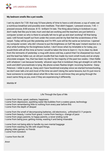

#### **My bedroom smells like a pot noodle.**

I set my alarm for 7:30- that way I'd have plenty of time to have a cold shower, a cup of water, eat a nutritious breakfast and possibly even meditate. That didn't happen. I pressed snooze, 7:45 - I pressed snooze, 8:00-snooze. 8:15 - brilliant I'm late. The thing about being in lockdown is you don't really feel like you're late; mum and dad are working and the teachers are just behind a computer screen so who is there to actually tell me to get up and start working? All that being said, I still forced myself out from under the covers and let my feet feel the scratchiness of the carpet. Today will be just like yesterday and I'm 99% sure will be the same as tomorrow. I opened my computer screen- why did I choose to put the brightness on full? My eyes' instant reaction is to shut while fumbling for the brightness button. I don't know what my timetable is for today, you would think with all this time at home I would've taken the time to learn it. I try to clear my desk from the remnants of yesterday: a mug with stone cold tea, a pencil that I've sharpened too much and the lead has fallen out, an old pot noodle that has made my room smell musty and an empty chocolate wrapper. Yes, that has been my diet for the majority of the past two weeks. I then fiddle with whatever I can because honestly whoever says that in lockdown they got straight on with the work and didn't procrastinate is lying. My phone screen flashes bright: incoming facetime - Daisy Peterson. I slide to pick up. Daisy and I have facetimed everyday since we started homeschooling, we don't even talk a lot and most of the time we aren't doing the same lessons, but it's just nice to have someone to complain about what life is like now to and know they are going through the exact same thing as you, even if they are experiencing it differently.

*Matilda W*

# Life Through the Eyes of Me

I come from Hove, upset, sadness, happiness I come from depression, sparkling water like bubbles from a watery grave, technology I come from remembering little to nothing from every year before this I come from the depth of despair

I come from the smell of decomposing batteries, old electronics, unfinished D.I.Y projects I come from beauty, I come from grace, I come from having a change of pace I come from angry parents, to happy parents, a never ending cycle I come from being poor, getting money, wasting it and being miserable

I come from not being able to handle my own mental baggage I come from wasting my life with stupid things, playing video games, no friends I come from boredom

I come from the UK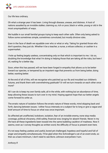

Our life less ordinary.

Oh what a strange year it has been. Living through disease, unease, and distress. A host of nations assailed by an invisible stalker, claiming us, rich or poor, black or white, young or old in the most unsympathetic of ways.

We huddle in our small familial groups trying to keep each other safe. Often only being asked to follow some sometimes simple, sometimes convoluted, but mostly divisive rules.

Even in the face of death we squabble over who or what or why. Taking for granted those who don't question, they just do. Whether it be a teacher, a nurse, a refuse collector, or cashier in a supermarket.

I hole up feeling largely useless, concentrating only on that which is important to me. I do so, doubting the knowledge that what I'm doing is helping those that are taking all the risks, but here I sit, waiting for a better day.

Soon, when this has passed, will we have been forged in empathy that allows us to be better toward our species, or tempered by an impotent rage that prevents us from being better, doing better, wanting better.

At the end of all of this, will we recognise who patched up our ills and moulded our children's futures, and thank them with overwhelming gratitude? Or will we turn inwards on each other once more?

All I can do is keep my own family safe, all in the while, with nothing but an abundance of time, keep allowing these issues to turn over in my mind. Hoping against hope that our better angels come forward to unite us.

The erratic nature of isolation follows the erratic nature of these words, mind skipping back and forth, dancing between issues. I either focus intensely on a subject far to long or give a vague and brief amount of time to focus on what was once important.

So affected yet unaffected, lockdown, isolation, fear of an invisible enemy, none stop media coverage, political chicanery, child safety, financial woe, longing for absent friends. Never in my life have all these ingredients been tossed into the same bubbling cauldron of madness. Now it seems, even as I convey thoughts as written word, the difficulty of focus is present even here.

It's not easy feeling useless and useful, bored yet challenged, hopeless and hopeful and full of anger and empathy simultaneously. I'll be glad when this Schrodinger's cat of an event ends, so then as a bare minimum, I don't need to see Boris Johnson everywhere I turn.

*Anthony R*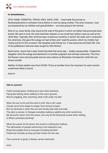

#### **In remembrance…**

STAY HOME. ESSENTIAL TRAVEL ONLY. SAVE LIVES. I had made the journey to Northamptonshire in lockdown twice before to visit my dying mother. This time, however, I was accompanied by my children and grandchildren – we were going to her funeral.

Nine of us, close family only, stood at the side of the grave in which my father had previously been buried. We were in luck: the rules had been relaxed, so we could have yellow roses as well as the white lilies. Typically, after all those days of glorious sunshine, it rained. My sister and I conducted the ceremony: she gave the eulogy we had written and I read the poems, which my mother had clearly put by for this occasion. My daughter paid tribute too. It was personal and heart-felt. One of the pallbearers had even been taught by 'Mrs Rintoul'.

Back home, I learnt that a dear friend had died that same day – totally unexpectedly. I helped her daughter write the eulogy and delivered it in another poignant and intimate ceremony. This time the flowers were red and purple and we were indoors at Woodvale Crematorium while the sun shone outside.

Neither of these deaths was from COVID-19 but, at another time, the mourners for each woman would have filled a church.

*Anne H*

# **Ode to summer!**

Fresh emerald grass- tickling your toes when barefoot, Flying like feeling when walking on the warm ground, Worms wiggling, ants marching; what a life under my feet.

When the sun is hot and the wind is soft- this is all I need, Clouds carve from shape to shape; from horses to bees, But my favourite is when the sun and clouds play hide and seek, The sky's a canvas- it changes everyday making a palette any artist would love, My favourite colour from this piece; can only be the blood-red sunset when setting, O, What a priceless painting!

When the waves hit the shore- the sound is nothing but endless, The silhouettes of people swimming in the lukewarm sea, Bring free joyable time to everyone including families! Fishermen chuckle as they put their hooks into the sea.

Thou summer is great, it always carves memories.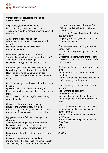

#### **Garden of Memories, Home of Longing An Ode to What Was**

Step outside, feet clothed in boots, Frost crunching underfoot. I bend down To examine a blade of grass, perfectly preserved With frost.

A year or more ago, if I had seen Where I am now, I would have squealed with delight No school, three snow-days in a row And poetry writing.

Look around, see that bush over there The one that was there since before I was born? The one that almost a year ago Housed Easter eggs for the very first time.

Before last year I would always wish to be sick I could stay home all day and lie in my bed Now, I laugh at myself, a bitter laugh it is What I'd give to go back there, to that time and place.

Frost bites at my nose, the warmth of that house beckons

I pull my collar up and walk stubbornly on Remembering the claustrophobic confines of my mask

What I'd give to wear it now, if it meant being somewhere else.

I loved this place, the place I grew up I loved it and wanted to stay in it long But now, I'd give anything to leave it just once And see my friends again, just one more time.

My gloves are pure failures - my fingers are shivering

They freeze and fidget, beg me for warmth I can give it to them, but I could also Stay here a little longer, forget where I am.

Look at where I started out, look at where I am now

I see the trampoline, the one that kept me and my brother sane, back when we thought "Thirteen days before Easter" would end it all.

I was the one who heard the news first That we would spend our precious year shut up at home

My word, you'd have thought our birthdays had come early

Oh, young me, bless your heart - you don't know what's in store

The things we were planning to do that school year

The trips and the gatherings, parties and plays

My brother said farewell to primary school Missed out on so much fun (except SATs, lucky rascal).

Sit down on the bench, and try hard not to think

Of the numbness in your hands and in your head

The world is on fire - and here I am, frozen Don't want to go back. Not yet.

Don't want to go back where I'm shut up and lonely Don't want to go back to the same-old-same-old No - I want to go back further than that I want to go back to the calm before the storm

My hands are both frozen as I hug myself In that escapist place, as flecks of ice dance in the air But I now must return, to routine and to

numbness Better to be in a static place of warmth

Than free

and

frozen.

*Aliyah C*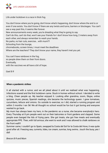

Life under lockdown is a race in thick fog.

You don't know where you're going, don't know what's happening, don't know where the end is or even if one exists. You don't know if there are any twists and turns, barriers or blockages. You can't see a way past this, it seems like forever. New announcements every week, you're dreading what they're going to say. Can't do this, can't do that, won't see your friends for I don't know how long, 2 meters away from each other, and always remember to wash your hands. No parks, no hair cuts, exercise… with mum!?! Schooling from the lounge, chromebooks, screen times, I must meet the deadlines Where are the teachers? They don't know your name, they haven't met you yet. You can't have rainbows in the fog,

so people drew them on their front doors. Eventually, with the vaccines we all have a bit of hope.

*Gael B R*

#### **When a pandemic strikes**

It all started with a rumor, and we all joked about it until we realised what was happening. Infections soared and the first lockdown came. Stuck in homes without school. I decided to write a blog. Cheer people up. My teacher enjoyed it. Looking after grandma, zoom, Skype, online quizzes, music pieces, Spanish readings, she became the technology queen. I grew tomatoes, cucumbers, lettuce and onions. Go outside to exercise; so I did, started a running program and within 3 months I ran 5k! We all thought no school would be fun but it got boring and everyone wanted to go back.

My mum has always been my hero, in the pandemic as a nurse, she became everybody's hero. Every Thursday at 8 pm people went out on their balconies or front gardens and clapped. Some people even banged the lids of frying pans. She got treats, she got free meals and eventually appropriate PPE. Then, with full armour, she went to work and I was allowed to chalk rainbows on the front wall!!!

Summer came, I couldn't go to Spain, swapped la Costa del Sol for la Costa del Hove, it was quite good after all. Freezing sea, currents, tides, ice cream, sunrise, long swims...touch the buoy, yes I did!

*Brecon B R and Mum*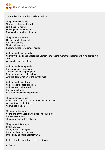

It started with a virus, but it will end with us.

The pandemic spreads Through our beautiful world Like the silent hunter Feeding its infinite hunger Creeping through the defences

The pandemic spreads Illness engulfs the world But in our country The front lines fight Doctors, nurses - warriors of health

And the pandemic spreads And from the darkness angels rise Captain Tom, raising more than just money Lifting spirits in his wake Walking his way to victory

And the pandemic spreads But happiness is emerging Cooking, talking, clapping at 8 Beating down this terrible virus With the determination of the human race.

And the pandemic slows And so ends the first lockdown And freedom is cherished But perhaps too far As a second lockdown approaches

The pandemic spreads And weariness is forced upon us But we do not falter We look towards the future And we see the light

The pandemic spreads As the end of the year draws close The virus slows But sadness returns The dampening of the holidays

The pandemic is fought In this new year We fight with more vigour Avenging those we have lost In the swaying battle against COVID

It started with a virus, but it will end with us,

*William W*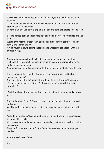

Daily news announcements, death toll increases, liberty restricted and hugs reduced.

Offers of kindness and support between neighbours, our street WhatsApp group gives all reassurance.

Supermarket shelves devoid of pasta, bleach and sanitiser; stockpiling loo rolls!

Sewing scrubs bags and face masks; clapping on doorsteps, for carers and the **NHS** 

Walking the neighbourhood, new streets explored; remote contact to check family and friends are ok.

Virtual museum tours, seeing theatre online; webcams connect us with the outside world.

No commute means time to sit, catch the morning sunrise on your face. A pheasant in the street, fox cubs in the garden, sparrow hawk on the fence and a mouse in the house.

Neighbour's cat curled up on my lap for hours; the sound of silence in the city.

Ever changing rules… told to 'stay home, save lives, protect the NHS'; or 'hands, face, space'

Choose a 'bubble family', respect the 'rule of six' and 'stay local' if you can. 'These are unprecedented times'; 'not anytime soon'; what will 'the new normal' be?

'Work from home if you can' (probably have a haircut there too); read a book a week.

Choose Zoom or Teams? 'You're on mute'; online fitness, gatherings, quizzes, and yoga.

Weekly rambles, explore muddy routes; calm on the beach, to the sighs of the sea.

Solitude or loneliness? Much time for reflection; gratitude and appreciation of the small things in life.

Vaccines offer optimism to shielders or elderly, give freedom to others, so life can resume.

Planning for freedoms, hope for the future, lessons been learnt, a stronger resolve.

A time we will never forget…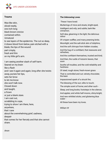

#### **Trauma**

Wax-like skin, sliced neatly, one inch long black brown crevice contained within. Unnatural to see layers of the epidermis. The cut so deep, it draws blood from below, pain etched with a blade, the lips of the wound part crisply, fresh and thin on my little girl's arm. I am seeing another slash of self harm. Seared on my brain like a flash and I see it again and again, long after she twists away, purses her lips, sets her brow to let me know she won't talk now. Closed down and taught, a frown or just a blank stare. I am cast out, scrabbling to cope, trying to show I am there, here, anywhere, that I care about the overwhelming grief, sadness, despair that comes for her fiercely and that she cannot share.

#### **The Unknowing Loves**

These I have loved:

Mutterings of mice and stoats, bright-eyed,

Intelligent and wily; and subtle, bark-like cinnamon;

Soft dew, gleaming in the light; the delicious odour

Of crispen waffles; and many preening birds;

Moonlight; and the salt-slick skin of dolphins;

And the soft chirrups from hidden cicadas;

And the hug of a confidant, that reassures and refreshes;

And the confidant themselves, trusted and kind;

And then, the rustle of Autumn leaves, that soon

Soothe all troubles; and the cold reliability and hardness

Of steel; rough stone; fresh-mown grass

That is controlled and cut; velvety chocolate; the keen

Impassioned spark of a struck fire;

The blessing of the sun; silks to touch;

The simple scent of home; and other such -

Sleep; and long books; footsteps in the silence;

And apples; and white half-moons, shiny-bright;

And new whittled sticks; and glistening blue water -

All these have been my loves.

*William W*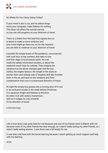

So Where Do You Fancy Going Today?

If your mind is also a cur, and its yellow fangs worry your synapses, make believe it's nothing. This does not affect the normal service, so you can still progress on your direction of travel.

There is a shake from the lead that signals the cur is about to make a move outdoors and your mind might go there too, so for the moment you are able to continue on your direction of travel.

Consider the empty buses of the pandemic, unconcerned with rush hour or key workers, that take no one and their dogs to local beauty spots. No one reads the safety information posters, or about the weekend coach trips for nobody. Then imagine the vibrations as the driver changes gear and the bus climbs, the engine labours. No weight in the seats to anchor them and nobody asks if droplets drift like invisible smirr in the air, and land on the windows and form condensation that runs in a downward direction of travel.

At night the empty bus passes like a moving slice of hi rise or an exclusive arcade in the week before Christmas. It is aquarium bright and fishless to the brim. Its sides rock with watery momentum, spill as it nudges its way onwards on its direction of travel.

*A Breckenridge*

Life in lock down was quite hard for me because only one of my friends went to Blatch with me because none of my other friends live near enough, so I wasn't really seeing my other friends, so I wasn't really seeing anyone. Lock down was a bit lonely for me.

It was also a bit hard with the home learning because I wasn't getting as much support and help with my learning.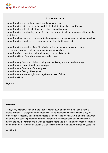

# **I come from Hove**

I come from the smell of burnt toast, crawling up my nose,

I come from the bath bombs that explode in the bath that smell of beautiful rose,

I come from the salty stench of fish and chips, covered in grease,

I come from the crackling logs in our fireplace, the funny little china ornaments sitting on the mantelpiece,

I come from breaking my collarbone after being pushed and spun around on a towering chair, I come from the countless times my mum spent time braiding my hair,

I come from the sensation of my friend's dog giving me massive hugs and kisses,

I come from my mum cooking my favourite mexican dishes,

I come from West Ham, the cockney language and the dirty streets,

I come from Upton Park where everyone used to meet,

I come from my favourite childhood teddy, with a missing arm and one button eye,

I come from the odour of fresh new steak pie,

I come from the fragrance of the salty sea,

I come from the feeling of being free,

I come from the streak of light sharp against the dark of cloud,

I come from Hove.

*Poppy D*

# **Day 6574**

Today's my birthday. I was born the 16th of March 2020 and I don't think I could have a worse birthday if I tried; I mean the first day of an 18 year lockdown isn't exactly a day of Celebration- especially now infected people are being killed on sight. Mum told me that when all of this first started people thought the lockdown would last weeks but since I turned twelve the covid-19 mutations started to become more and more lethal; the most recent one so bad that only 1 in 500 survive. I'm Sky, this is my life and, who knows, maybe it's yours too.

*Jacob M-C*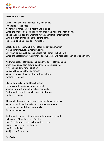

#### **When This is Over**

When it's all over and the birds truly sing again, I'm hoping for the best, A life that is familiar, not different and strange, When the chance comes again, to not snap it up will be to finish losing, The shouting voices and washing waves and traffic lights flashing, With a crunch of stones and the sifting sand, Ice cream dripping like a cool waterfall.

Blocked out by the invisible wall stopping any continuation, Nothing moving, just an eternal waiting, But when long enough passes, voices will clamour to be heard, When the escalators of reality move again, nothing will hold back the tide of opportunity.

And when brakes start screeching and the doors start banging, when the queues start growing and the intercom droning, it will be high time for celebration. You can't hold back the tide forever. When the trickle of a river of opportunity starts nothing will stop it.

Sliding doors sliding and taxis beeping, the trickle will turn into a babbling brook, winding its way through the hills of humanity And when the brook grows to form a tidal wave, nothing will stop it.

The smell of seaweed and warm chips wafting over the air When the cards start buzzing and the coins dropping, I'm hoping for that tide of opportunity, As no-one can avoid it.

And when it comes it will wash away the damage caused, in its wake of happiness and freedom I won't be the one to stop following the current, and as it sweeps across the city, just follow the tide. And jump in for the ride

*Calvin C-R*